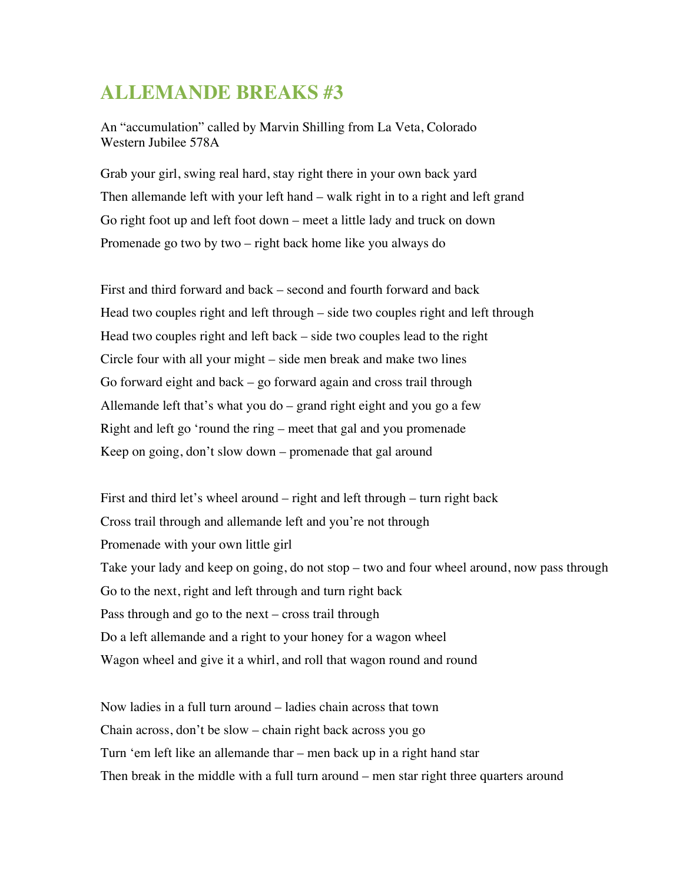## **ALLEMANDE BREAKS #3**

An "accumulation" called by Marvin Shilling from La Veta, Colorado Western Jubilee 578A

Grab your girl, swing real hard, stay right there in your own back yard Then allemande left with your left hand – walk right in to a right and left grand Go right foot up and left foot down – meet a little lady and truck on down Promenade go two by two – right back home like you always do

First and third forward and back – second and fourth forward and back Head two couples right and left through – side two couples right and left through Head two couples right and left back – side two couples lead to the right Circle four with all your might – side men break and make two lines Go forward eight and back – go forward again and cross trail through Allemande left that's what you do – grand right eight and you go a few Right and left go 'round the ring – meet that gal and you promenade Keep on going, don't slow down – promenade that gal around

First and third let's wheel around – right and left through – turn right back Cross trail through and allemande left and you're not through Promenade with your own little girl Take your lady and keep on going, do not stop – two and four wheel around, now pass through Go to the next, right and left through and turn right back Pass through and go to the next – cross trail through Do a left allemande and a right to your honey for a wagon wheel Wagon wheel and give it a whirl, and roll that wagon round and round

Now ladies in a full turn around – ladies chain across that town Chain across, don't be slow – chain right back across you go Turn 'em left like an allemande thar – men back up in a right hand star Then break in the middle with a full turn around – men star right three quarters around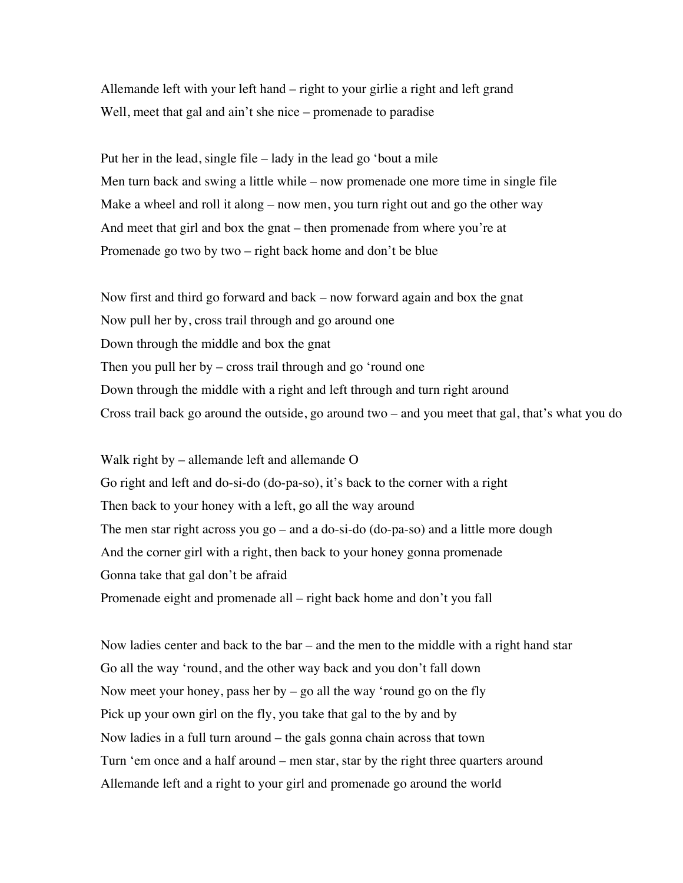Allemande left with your left hand – right to your girlie a right and left grand Well, meet that gal and ain't she nice – promenade to paradise

Put her in the lead, single file – lady in the lead go 'bout a mile Men turn back and swing a little while – now promenade one more time in single file Make a wheel and roll it along – now men, you turn right out and go the other way And meet that girl and box the gnat – then promenade from where you're at Promenade go two by two – right back home and don't be blue

Now first and third go forward and back – now forward again and box the gnat Now pull her by, cross trail through and go around one Down through the middle and box the gnat Then you pull her by – cross trail through and go 'round one Down through the middle with a right and left through and turn right around Cross trail back go around the outside, go around two – and you meet that gal, that's what you do

Walk right by – allemande left and allemande O Go right and left and do-si-do (do-pa-so), it's back to the corner with a right Then back to your honey with a left, go all the way around The men star right across you go – and a do-si-do (do-pa-so) and a little more dough And the corner girl with a right, then back to your honey gonna promenade Gonna take that gal don't be afraid Promenade eight and promenade all – right back home and don't you fall

Now ladies center and back to the bar – and the men to the middle with a right hand star Go all the way 'round, and the other way back and you don't fall down Now meet your honey, pass her by  $-$  go all the way 'round go on the fly Pick up your own girl on the fly, you take that gal to the by and by Now ladies in a full turn around – the gals gonna chain across that town Turn 'em once and a half around – men star, star by the right three quarters around Allemande left and a right to your girl and promenade go around the world